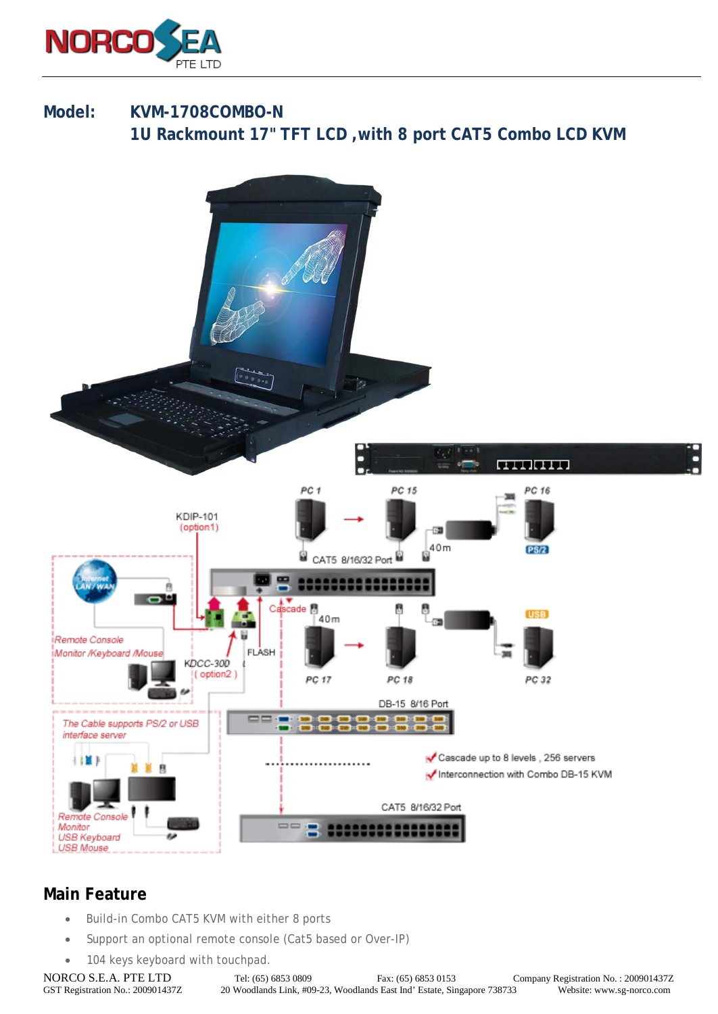

## **Model: KVM-1708COMBO-N 1U Rackmount 17" TFT LCD ,with 8 port CAT5 Combo LCD KVM**



## **Main Feature**

- Build-in Combo CAT5 KVM with either 8 ports
- Support an optional remote console (Cat5 based or Over-IP)
- 104 keys keyboard with touchpad.

NORCO S.E.A. PTE LTD Tel: (65) 6853 0809 Fax: (65) 6853 0153 Company Registration No. : 200901437Z<br>GST Registration No. : 200901437Z 20 Woodlands Link, #09-23, Woodlands East Ind' Estate, Singapore 738733 Website: www.sg-n 20 Woodlands Link, #09-23, Woodlands East Ind' Estate, Singapore 738733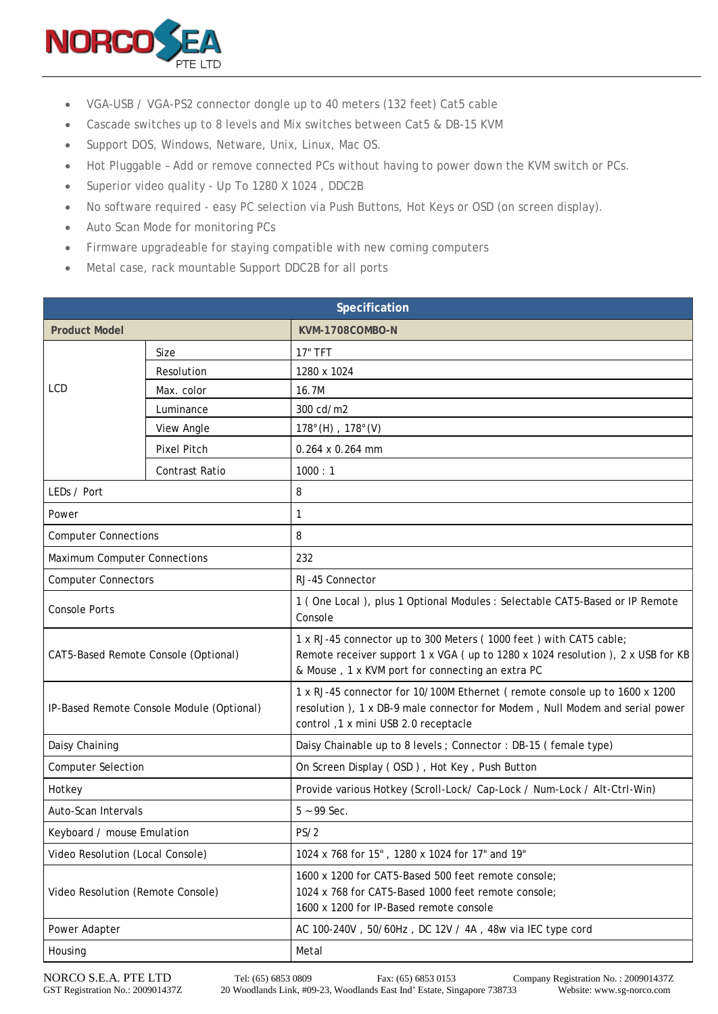

- VGA-USB / VGA-PS2 connector dongle up to 40 meters (132 feet) Cat5 cable
- Cascade switches up to 8 levels and Mix switches between Cat5 & DB-15 KVM
- Support DOS, Windows, Netware, Unix, Linux, Mac OS.
- Hot Pluggable Add or remove connected PCs without having to power down the KVM switch or PCs.
- Superior video quality Up To 1280 X 1024 , DDC2B
- No software required easy PC selection via Push Buttons, Hot Keys or OSD (on screen display).
- Auto Scan Mode for monitoring PCs
- Firmware upgradeable for staying compatible with new coming computers
- Metal case, rack mountable Support DDC2B for all ports

| Specification                             |                |                                                                                                                                                                                                           |  |
|-------------------------------------------|----------------|-----------------------------------------------------------------------------------------------------------------------------------------------------------------------------------------------------------|--|
| <b>Product Model</b>                      |                | KVM-1708COMBO-N                                                                                                                                                                                           |  |
| LCD                                       | Size           | <b>17" TFT</b>                                                                                                                                                                                            |  |
|                                           | Resolution     | 1280 x 1024                                                                                                                                                                                               |  |
|                                           | Max. color     | 16.7M                                                                                                                                                                                                     |  |
|                                           | Luminance      | 300 cd/m2                                                                                                                                                                                                 |  |
|                                           | View Angle     | $178^{\circ}$ (H), $178^{\circ}$ (V)                                                                                                                                                                      |  |
|                                           | Pixel Pitch    | $0.264 \times 0.264$ mm                                                                                                                                                                                   |  |
|                                           | Contrast Ratio | 1000:1                                                                                                                                                                                                    |  |
| LEDs / Port                               |                | 8                                                                                                                                                                                                         |  |
| Power                                     |                | 1                                                                                                                                                                                                         |  |
| <b>Computer Connections</b>               |                | 8                                                                                                                                                                                                         |  |
| Maximum Computer Connections              |                | 232                                                                                                                                                                                                       |  |
| <b>Computer Connectors</b>                |                | RJ-45 Connector                                                                                                                                                                                           |  |
| <b>Console Ports</b>                      |                | 1 (One Local), plus 1 Optional Modules : Selectable CAT5-Based or IP Remote<br>Console                                                                                                                    |  |
| CAT5-Based Remote Console (Optional)      |                | 1 x RJ-45 connector up to 300 Meters (1000 feet) with CAT5 cable;<br>Remote receiver support 1 x VGA ( up to 1280 x 1024 resolution ), 2 x USB for KB<br>& Mouse, 1 x KVM port for connecting an extra PC |  |
| IP-Based Remote Console Module (Optional) |                | 1 x RJ-45 connector for 10/100M Ethernet (remote console up to 1600 x 1200<br>resolution ), 1 x DB-9 male connector for Modem, Null Modem and serial power<br>control, 1 x mini USB 2.0 receptacle        |  |
| Daisy Chaining                            |                | Daisy Chainable up to 8 levels ; Connector : DB-15 (female type)                                                                                                                                          |  |
| <b>Computer Selection</b>                 |                | On Screen Display (OSD), Hot Key, Push Button                                                                                                                                                             |  |
| Hotkey                                    |                | Provide various Hotkey (Scroll-Lock/ Cap-Lock / Num-Lock / Alt-Ctrl-Win)                                                                                                                                  |  |
| Auto-Scan Intervals                       |                | $5 - 99$ Sec.                                                                                                                                                                                             |  |
| Keyboard / mouse Emulation                |                | PS/2                                                                                                                                                                                                      |  |
| Video Resolution (Local Console)          |                | 1024 x 768 for 15", 1280 x 1024 for 17" and 19"                                                                                                                                                           |  |
| Video Resolution (Remote Console)         |                | 1600 x 1200 for CAT5-Based 500 feet remote console;<br>1024 x 768 for CAT5-Based 1000 feet remote console;<br>1600 x 1200 for IP-Based remote console                                                     |  |
| Power Adapter                             |                | AC 100-240V, 50/60Hz, DC 12V / 4A, 48w via IEC type cord                                                                                                                                                  |  |
| Housing                                   |                | Metal                                                                                                                                                                                                     |  |